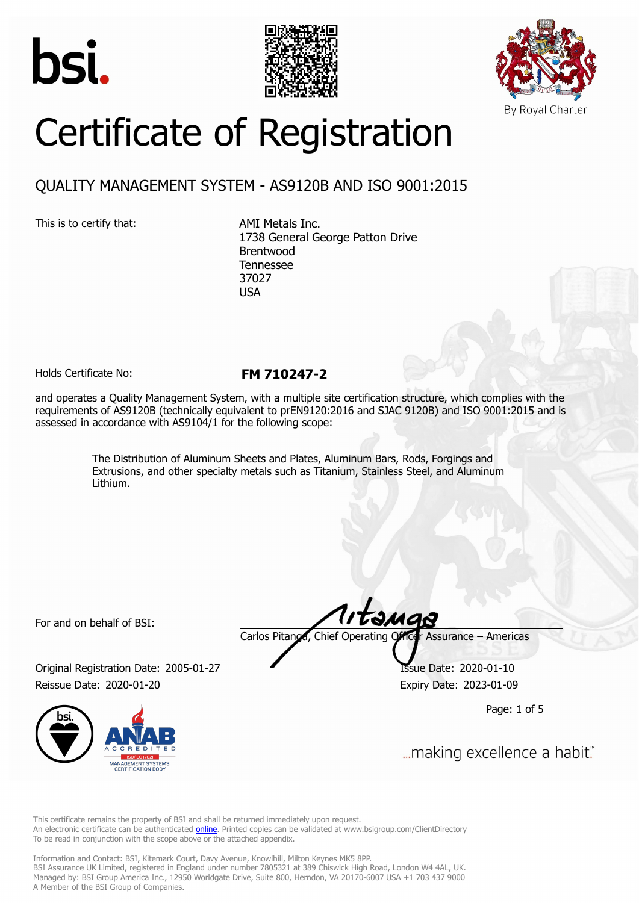





# Certificate of Registration

## QUALITY MANAGEMENT SYSTEM - AS9120B AND ISO 9001:2015

This is to certify that: AMI Metals Inc.

1738 General George Patton Drive Brentwood Tennessee 37027 USA

Holds Certificate No: **FM 710247-2**

and operates a Quality Management System, with a multiple site certification structure, which complies with the requirements of AS9120B (technically equivalent to prEN9120:2016 and SJAC 9120B) and ISO 9001:2015 and is assessed in accordance with AS9104/1 for the following scope:

> The Distribution of Aluminum Sheets and Plates, Aluminum Bars, Rods, Forgings and Extrusions, and other specialty metals such as Titanium, Stainless Steel, and Aluminum Lithium.

For and on behalf of BSI:

Carlos Pitanga, Chief Operating Officer Assurance – Americas

Original Registration Date: 2005-01-27 Issue Date: 2020-01-10 Reissue Date: 2020-01-20 **Expiry Date: 2023-01-09** 



təmas

Page: 1 of 5

... making excellence a habit."

This certificate remains the property of BSI and shall be returned immediately upon request. An electronic certificate can be authenticated **[online](https://pgplus.bsigroup.com/CertificateValidation/CertificateValidator.aspx?CertificateNumber=FM+710247-2&ReIssueDate=20%2f01%2f2020&Template=inc)**. Printed copies can be validated at www.bsigroup.com/ClientDirectory To be read in conjunction with the scope above or the attached appendix.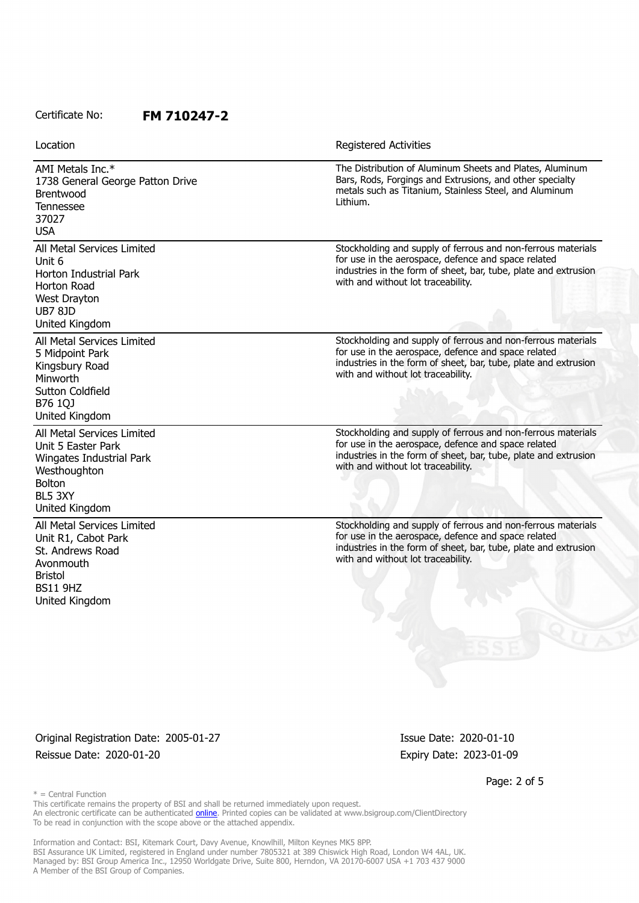| Location |  |
|----------|--|
|          |  |

**Registered Activities** 

AMI Metals Inc.\* 1738 General George Patton Drive Brentwood Tennessee 37027 USA The Distribution of Aluminum Sheets and Plates, Aluminum Bars, Rods, Forgings and Extrusions, and other specialty metals such as Titanium, Stainless Steel, and Aluminum Lithium. All Metal Services Limited Unit 6 Horton Industrial Park Horton Road West Drayton UB7 8JD United Kingdom Stockholding and supply of ferrous and non-ferrous materials for use in the aerospace, defence and space related industries in the form of sheet, bar, tube, plate and extrusion with and without lot traceability. All Metal Services Limited 5 Midpoint Park Kingsbury Road Minworth Sutton Coldfield B76 1QJ United Kingdom Stockholding and supply of ferrous and non-ferrous materials for use in the aerospace, defence and space related industries in the form of sheet, bar, tube, plate and extrusion with and without lot traceability. All Metal Services Limited Unit 5 Easter Park Wingates Industrial Park **Westhoughton** Bolton BL5 3XY United Kingdom Stockholding and supply of ferrous and non-ferrous materials for use in the aerospace, defence and space related industries in the form of sheet, bar, tube, plate and extrusion with and without lot traceability. All Metal Services Limited Unit R1, Cabot Park St. Andrews Road Avonmouth Bristol BS11 9HZ United Kingdom Stockholding and supply of ferrous and non-ferrous materials for use in the aerospace, defence and space related industries in the form of sheet, bar, tube, plate and extrusion with and without lot traceability.

Original Registration Date: 2005-01-27 Issue Date: 2020-01-10 Reissue Date: 2020-01-20 **Expiry Date: 2023-01-09** Expiry Date: 2023-01-09

Page: 2 of 5

 $* =$  Central Function

This certificate remains the property of BSI and shall be returned immediately upon request. An electronic certificate can be authenticated [online](https://pgplus.bsigroup.com/CertificateValidation/CertificateValidator.aspx?CertificateNumber=FM+710247-2&ReIssueDate=20%2f01%2f2020&Template=inc). Printed copies can be validated at www.bsigroup.com/ClientDirectory To be read in conjunction with the scope above or the attached appendix.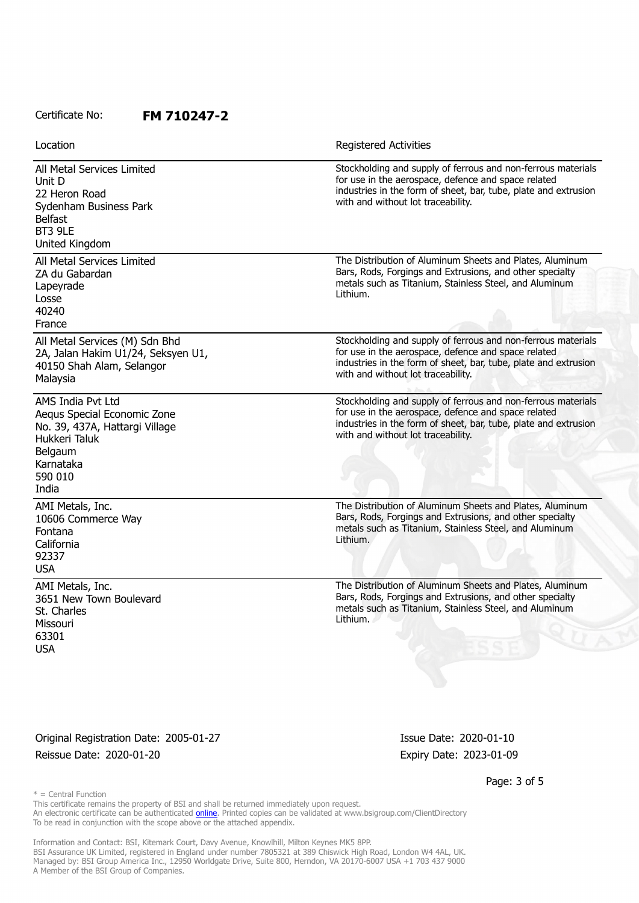| Location                                                                                                                                        | <b>Registered Activities</b>                                                                                                                                                                                                 |
|-------------------------------------------------------------------------------------------------------------------------------------------------|------------------------------------------------------------------------------------------------------------------------------------------------------------------------------------------------------------------------------|
| All Metal Services Limited<br>Unit D<br>22 Heron Road<br>Sydenham Business Park<br><b>Belfast</b><br>BT3 9LE<br>United Kingdom                  | Stockholding and supply of ferrous and non-ferrous materials<br>for use in the aerospace, defence and space related<br>industries in the form of sheet, bar, tube, plate and extrusion<br>with and without lot traceability. |
| All Metal Services Limited<br>ZA du Gabardan<br>Lapeyrade<br>Losse<br>40240<br>France                                                           | The Distribution of Aluminum Sheets and Plates, Aluminum<br>Bars, Rods, Forgings and Extrusions, and other specialty<br>metals such as Titanium, Stainless Steel, and Aluminum<br>Lithium.                                   |
| All Metal Services (M) Sdn Bhd<br>2A, Jalan Hakim U1/24, Seksyen U1,<br>40150 Shah Alam, Selangor<br>Malaysia                                   | Stockholding and supply of ferrous and non-ferrous materials<br>for use in the aerospace, defence and space related<br>industries in the form of sheet, bar, tube, plate and extrusion<br>with and without lot traceability. |
| AMS India Pvt Ltd<br>Aequs Special Economic Zone<br>No. 39, 437A, Hattargi Village<br>Hukkeri Taluk<br>Belgaum<br>Karnataka<br>590 010<br>India | Stockholding and supply of ferrous and non-ferrous materials<br>for use in the aerospace, defence and space related<br>industries in the form of sheet, bar, tube, plate and extrusion<br>with and without lot traceability. |
| AMI Metals, Inc.<br>10606 Commerce Way<br>Fontana<br>California<br>92337<br><b>USA</b>                                                          | The Distribution of Aluminum Sheets and Plates, Aluminum<br>Bars, Rods, Forgings and Extrusions, and other specialty<br>metals such as Titanium, Stainless Steel, and Aluminum<br>Lithium.                                   |
| AMI Metals, Inc.<br>3651 New Town Boulevard<br>St. Charles<br>Missouri<br>63301<br><b>USA</b>                                                   | The Distribution of Aluminum Sheets and Plates, Aluminum<br>Bars, Rods, Forgings and Extrusions, and other specialty<br>metals such as Titanium, Stainless Steel, and Aluminum<br>Lithium.                                   |

Original Registration Date: 2005-01-27 Issue Date: 2020-01-10 Reissue Date: 2020-01-20 **Expiry Date: 2023-01-09** 

Page: 3 of 5

 $*$  = Central Function

This certificate remains the property of BSI and shall be returned immediately upon request. An electronic certificate can be authenticated *[online](https://pgplus.bsigroup.com/CertificateValidation/CertificateValidator.aspx?CertificateNumber=FM+710247-2&ReIssueDate=20%2f01%2f2020&Template=inc)*. Printed copies can be validated at www.bsigroup.com/ClientDirectory To be read in conjunction with the scope above or the attached appendix.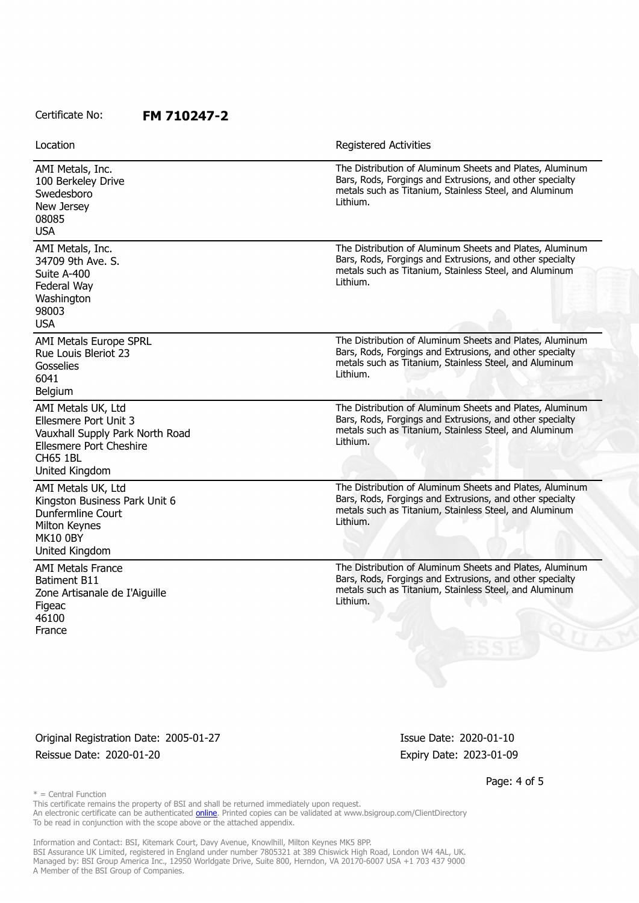Location **Exercise 2018 Location Registered Activities** 

AMI Metals, Inc. 100 Berkeley Drive **Swedesboro** New Jersey 08085 USA The Distribution of Aluminum Sheets and Plates, Aluminum Bars, Rods, Forgings and Extrusions, and other specialty metals such as Titanium, Stainless Steel, and Aluminum Lithium. AMI Metals, Inc. 34709 9th Ave. S. Suite A-400 Federal Way **Washington** 98003 USA The Distribution of Aluminum Sheets and Plates, Aluminum Bars, Rods, Forgings and Extrusions, and other specialty metals such as Titanium, Stainless Steel, and Aluminum Lithium. AMI Metals Europe SPRL Rue Louis Bleriot 23 Gosselies 6041 Belgium The Distribution of Aluminum Sheets and Plates, Aluminum Bars, Rods, Forgings and Extrusions, and other specialty metals such as Titanium, Stainless Steel, and Aluminum Lithium. AMI Metals UK, Ltd Ellesmere Port Unit 3 Vauxhall Supply Park North Road Ellesmere Port Cheshire CH65 1BL United Kingdom The Distribution of Aluminum Sheets and Plates, Aluminum Bars, Rods, Forgings and Extrusions, and other specialty metals such as Titanium, Stainless Steel, and Aluminum Lithium. AMI Metals UK, Ltd Kingston Business Park Unit 6 Dunfermline Court Milton Keynes MK10 0BY United Kingdom The Distribution of Aluminum Sheets and Plates, Aluminum Bars, Rods, Forgings and Extrusions, and other specialty metals such as Titanium, Stainless Steel, and Aluminum Lithium. AMI Metals France Batiment B11 Zone Artisanale de I'Aiguille **Figeac** 46100 France The Distribution of Aluminum Sheets and Plates, Aluminum Bars, Rods, Forgings and Extrusions, and other specialty metals such as Titanium, Stainless Steel, and Aluminum Lithium.

Original Registration Date: 2005-01-27 Issue Date: 2020-01-10 Reissue Date: 2020-01-20 **Expiry Date: 2023-01-09** Expiry Date: 2023-01-09

Page: 4 of 5

 $* =$  Central Function

This certificate remains the property of BSI and shall be returned immediately upon request. An electronic certificate can be authenticated [online](https://pgplus.bsigroup.com/CertificateValidation/CertificateValidator.aspx?CertificateNumber=FM+710247-2&ReIssueDate=20%2f01%2f2020&Template=inc). Printed copies can be validated at www.bsigroup.com/ClientDirectory To be read in conjunction with the scope above or the attached appendix.